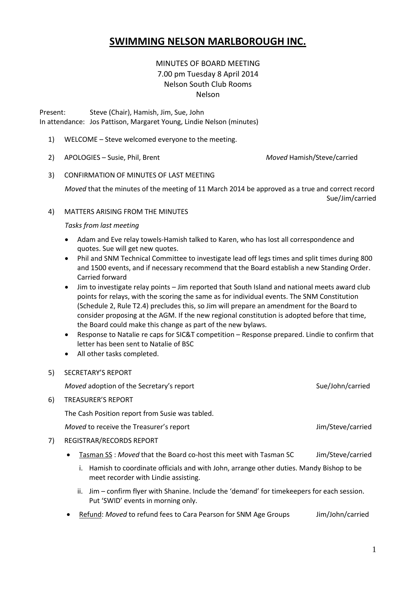# **SWIMMING NELSON MARLBOROUGH INC.**

### MINUTES OF BOARD MEETING 7.00 pm Tuesday 8 April 2014 Nelson South Club Rooms Nelson

Present: Steve (Chair), Hamish, Jim, Sue, John In attendance: Jos Pattison, Margaret Young, Lindie Nelson (minutes)

- 1) WELCOME Steve welcomed everyone to the meeting.
- 2) APOLOGIES Susie, Phil, Brent *Moved* Hamish/Steve/carried

3) CONFIRMATION OF MINUTES OF LAST MEETING

*Moved* that the minutes of the meeting of 11 March 2014 be approved as a true and correct record Sue/Jim/carried

4) MATTERS ARISING FROM THE MINUTES

#### *Tasks from last meeting*

- Adam and Eve relay towels-Hamish talked to Karen, who has lost all correspondence and quotes. Sue will get new quotes.
- Phil and SNM Technical Committee to investigate lead off legs times and split times during 800 and 1500 events, and if necessary recommend that the Board establish a new Standing Order. Carried forward
- Jim to investigate relay points Jim reported that South Island and national meets award club points for relays, with the scoring the same as for individual events. The SNM Constitution (Schedule 2, Rule T2.4) precludes this, so Jim will prepare an amendment for the Board to consider proposing at the AGM. If the new regional constitution is adopted before that time, the Board could make this change as part of the new bylaws.
- Response to Natalie re caps for SIC&T competition Response prepared. Lindie to confirm that letter has been sent to Natalie of BSC
- All other tasks completed.
- 5) SECRETARY'S REPORT

*Moved* adoption of the Secretary's report Sue and Sue/John/carried

6) TREASURER'S REPORT

The Cash Position report from Susie was tabled.

*Moved* to receive the Treasurer's report **Access 2008** Jim/Steve/carried

- 7) REGISTRAR/RECORDS REPORT
	- Tasman SS : *Moved* that the Board co-host this meet with Tasman SC Jim/Steve/carried
		- i. Hamish to coordinate officials and with John, arrange other duties. Mandy Bishop to be meet recorder with Lindie assisting.
		- ii. Jim confirm flyer with Shanine. Include the 'demand' for timekeepers for each session. Put 'SWID' events in morning only.
	- Refund: *Moved* to refund fees to Cara Pearson for SNM Age Groups Jim/John/carried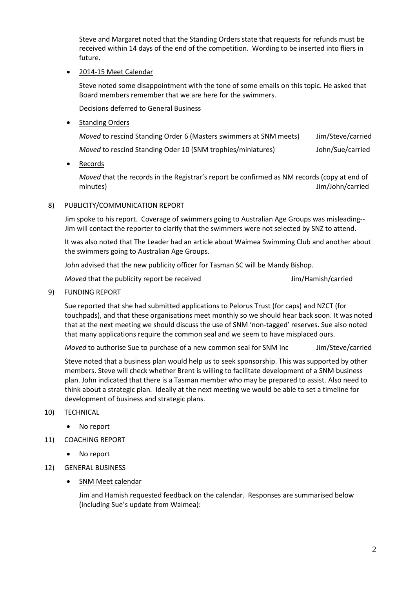Steve and Margaret noted that the Standing Orders state that requests for refunds must be received within 14 days of the end of the competition. Wording to be inserted into fliers in future.

2014-15 Meet Calendar

Steve noted some disappointment with the tone of some emails on this topic. He asked that Board members remember that we are here for the swimmers.

Decisions deferred to General Business

**Standing Orders** 

| <i>Moved</i> to rescind Standing Order 6 (Masters swimmers at SNM meets) | Jim/Steve/carried |
|--------------------------------------------------------------------------|-------------------|
| Moved to rescind Standing Oder 10 (SNM trophies/miniatures)              | John/Sue/carried  |

Records

*Moved* that the records in the Registrar's report be confirmed as NM records (copy at end of minutes) Jim/John/carried

#### 8) PUBLICITY/COMMUNICATION REPORT

Jim spoke to his report. Coverage of swimmers going to Australian Age Groups was misleading-- Jim will contact the reporter to clarify that the swimmers were not selected by SNZ to attend.

It was also noted that The Leader had an article about Waimea Swimming Club and another about the swimmers going to Australian Age Groups.

John advised that the new publicity officer for Tasman SC will be Mandy Bishop.

*Moved* that the publicity report be received **Jim/Hamish/carried** Jim/Hamish/carried

9) FUNDING REPORT

Sue reported that she had submitted applications to Pelorus Trust (for caps) and NZCT (for touchpads), and that these organisations meet monthly so we should hear back soon. It was noted that at the next meeting we should discuss the use of SNM 'non-tagged' reserves. Sue also noted that many applications require the common seal and we seem to have misplaced ours.

*Moved* to authorise Sue to purchase of a new common seal for SNM Inc Jim/Steve/carried

Steve noted that a business plan would help us to seek sponsorship. This was supported by other members. Steve will check whether Brent is willing to facilitate development of a SNM business plan. John indicated that there is a Tasman member who may be prepared to assist. Also need to think about a strategic plan. Ideally at the next meeting we would be able to set a timeline for development of business and strategic plans.

- 10) TECHNICAL
	- No report
- 11) COACHING REPORT
	- No report
- 12) GENERAL BUSINESS
	- SNM Meet calendar

Jim and Hamish requested feedback on the calendar. Responses are summarised below (including Sue's update from Waimea):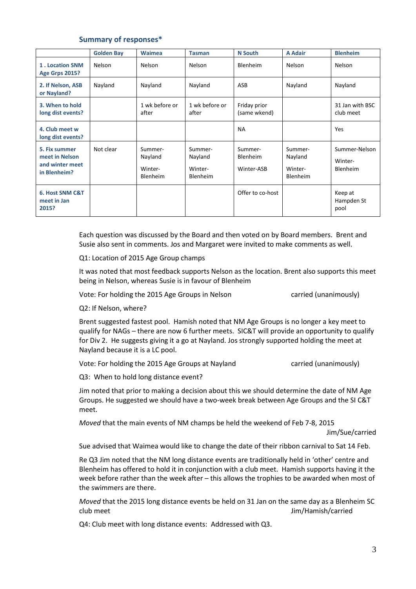#### **Summary of responses\***

|                                                                    | <b>Golden Bay</b> | <b>Waimea</b>                                    | <b>Tasman</b>                                    | <b>N</b> South                    | <b>A Adair</b>                                   | <b>Blenheim</b>                      |
|--------------------------------------------------------------------|-------------------|--------------------------------------------------|--------------------------------------------------|-----------------------------------|--------------------------------------------------|--------------------------------------|
| 1. Location SNM<br><b>Age Grps 2015?</b>                           | Nelson            | Nelson                                           | Nelson                                           | <b>Blenheim</b>                   | Nelson                                           | Nelson                               |
| 2. If Nelson, ASB<br>or Nayland?                                   | Nayland           | Nayland                                          | Nayland                                          | ASB                               | Nayland                                          | Nayland                              |
| 3. When to hold<br>long dist events?                               |                   | 1 wk before or<br>after                          | 1 wk before or<br>after                          | Friday prior<br>(same wkend)      |                                                  | 31 Jan with BSC<br>club meet         |
| 4. Club meet w<br>long dist events?                                |                   |                                                  |                                                  | <b>NA</b>                         |                                                  | <b>Yes</b>                           |
| 5. Fix summer<br>meet in Nelson<br>and winter meet<br>in Blenheim? | Not clear         | Summer-<br>Nayland<br>Winter-<br><b>Blenheim</b> | Summer-<br>Nayland<br>Winter-<br><b>Blenheim</b> | Summer-<br>Blenheim<br>Winter-ASB | Summer-<br>Nayland<br>Winter-<br><b>Blenheim</b> | Summer-Nelson<br>Winter-<br>Blenheim |
| 6. Host SNM C&T<br>meet in Jan<br>2015?                            |                   |                                                  |                                                  | Offer to co-host                  |                                                  | Keep at<br>Hampden St<br>pool        |

Each question was discussed by the Board and then voted on by Board members. Brent and Susie also sent in comments. Jos and Margaret were invited to make comments as well.

Q1: Location of 2015 Age Group champs

It was noted that most feedback supports Nelson as the location. Brent also supports this meet being in Nelson, whereas Susie is in favour of Blenheim

Vote: For holding the 2015 Age Groups in Nelson carried (unanimously)

Q2: If Nelson, where?

Brent suggested fastest pool. Hamish noted that NM Age Groups is no longer a key meet to qualify for NAGs – there are now 6 further meets. SIC&T will provide an opportunity to qualify for Div 2. He suggests giving it a go at Nayland. Jos strongly supported holding the meet at Nayland because it is a LC pool.

Vote: For holding the 2015 Age Groups at Nayland carried (unanimously)

Q3: When to hold long distance event?

Jim noted that prior to making a decision about this we should determine the date of NM Age Groups. He suggested we should have a two-week break between Age Groups and the SI C&T meet.

*Moved* that the main events of NM champs be held the weekend of Feb 7-8, 2015

Jim/Sue/carried

Sue advised that Waimea would like to change the date of their ribbon carnival to Sat 14 Feb.

Re Q3 Jim noted that the NM long distance events are traditionally held in 'other' centre and Blenheim has offered to hold it in conjunction with a club meet. Hamish supports having it the week before rather than the week after – this allows the trophies to be awarded when most of the swimmers are there.

*Moved* that the 2015 long distance events be held on 31 Jan on the same day as a Blenheim SC club meet Jim/Hamish/carried

Q4: Club meet with long distance events: Addressed with Q3.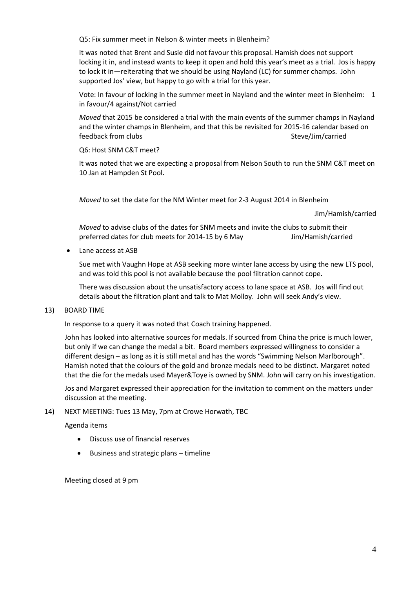Q5: Fix summer meet in Nelson & winter meets in Blenheim?

It was noted that Brent and Susie did not favour this proposal. Hamish does not support locking it in, and instead wants to keep it open and hold this year's meet as a trial. Jos is happy to lock it in—reiterating that we should be using Nayland (LC) for summer champs. John supported Jos' view, but happy to go with a trial for this year.

Vote: In favour of locking in the summer meet in Nayland and the winter meet in Blenheim: 1 in favour/4 against/Not carried

*Moved* that 2015 be considered a trial with the main events of the summer champs in Nayland and the winter champs in Blenheim, and that this be revisited for 2015-16 calendar based on feedback from clubs and steve/Jim/carried steve/Jim/carried

Q6: Host SNM C&T meet?

It was noted that we are expecting a proposal from Nelson South to run the SNM C&T meet on 10 Jan at Hampden St Pool.

*Moved* to set the date for the NM Winter meet for 2-3 August 2014 in Blenheim

Jim/Hamish/carried

*Moved* to advise clubs of the dates for SNM meets and invite the clubs to submit their preferred dates for club meets for 2014-15 by 6 May Jim/Hamish/carried

Lane access at ASB

Sue met with Vaughn Hope at ASB seeking more winter lane access by using the new LTS pool, and was told this pool is not available because the pool filtration cannot cope.

There was discussion about the unsatisfactory access to lane space at ASB. Jos will find out details about the filtration plant and talk to Mat Molloy. John will seek Andy's view.

#### 13) BOARD TIME

In response to a query it was noted that Coach training happened.

John has looked into alternative sources for medals. If sourced from China the price is much lower, but only if we can change the medal a bit. Board members expressed willingness to consider a different design – as long as it is still metal and has the words "Swimming Nelson Marlborough". Hamish noted that the colours of the gold and bronze medals need to be distinct. Margaret noted that the die for the medals used Mayer&Toye is owned by SNM. John will carry on his investigation.

Jos and Margaret expressed their appreciation for the invitation to comment on the matters under discussion at the meeting.

#### 14) NEXT MEETING: Tues 13 May, 7pm at Crowe Horwath, TBC

Agenda items

- Discuss use of financial reserves
- Business and strategic plans timeline

Meeting closed at 9 pm